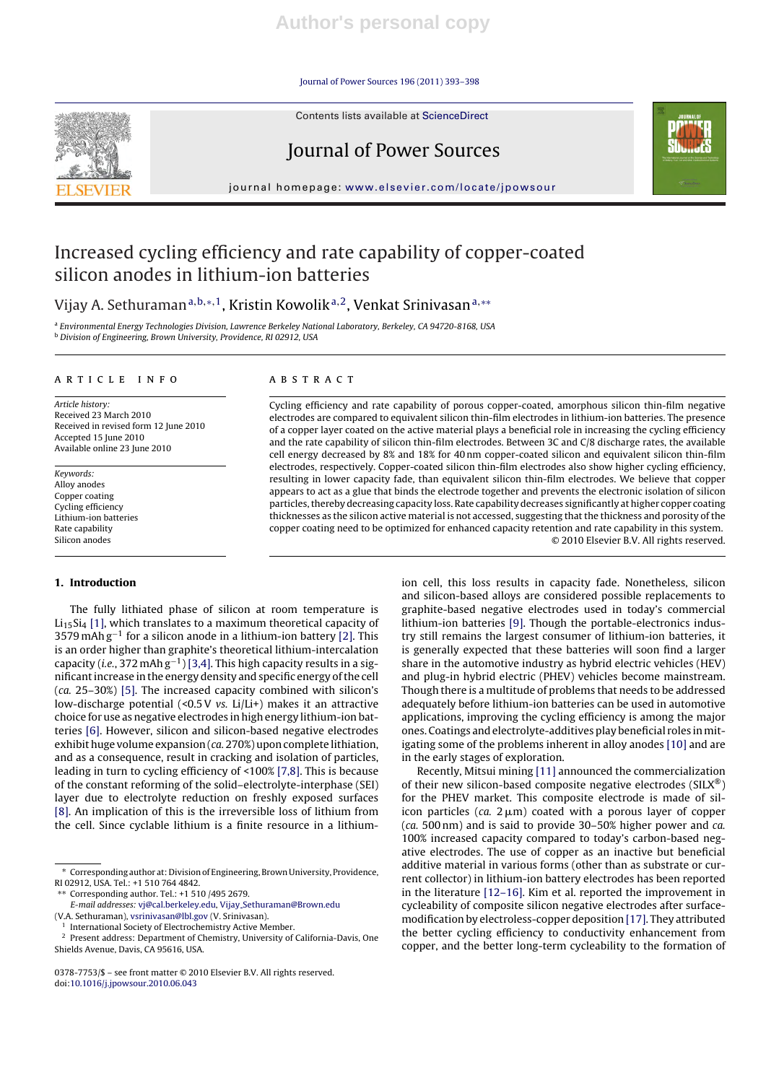Journal of Power Sources 196 (2011) 393–398

Contents lists available at ScienceDirect



Journal of Power Sources

journal homepage: www.elsevier.com/locate/jpowsour

# Increased cycling efficiency and rate capability of copper-coated silicon anodes in lithium-ion batteries

Vijay A. Sethuraman<sup>a,b,∗,1</sup>, Kristin Kowolik<sup>a,2</sup>, Venkat Sriniyasan<sup>a,∗∗</sup>

<sup>a</sup> Environmental Energy Technologies Division, Lawrence Berkeley National Laboratory, Berkeley, CA 94720-8168, USA <sup>b</sup> Division of Engineering, Brown University, Providence, RI 02912, USA

#### article info

Article history: Received 23 March 2010 Received in revised form 12 June 2010 Accepted 15 June 2010 Available online 23 June 2010

Keywords: Alloy anodes Copper coating Cycling efficiency Lithium-ion batteries Rate capability Silicon anodes

## **1. Introduction**

The fully lithiated phase of silicon at room temperature is  $Li<sub>15</sub>Si<sub>4</sub>$  [1], which translates to a maximum theoretical capacity of 3579 mAh g<sup>-1</sup> for a silicon anode in a lithium-ion battery [2]. This is an order higher than graphite's theoretical lithium-intercalation capacity (i.e., 372 mAh  $g^{-1}$ ) [3,4]. This high capacity results in a significant increase in the energy density and specific energy of the cell (ca. 25–30%) [5]. The increased capacity combined with silicon's low-discharge potential (<0.5 V vs. Li/Li+) makes it an attractive choice for use as negative electrodes in high energy lithium-ion batteries [6]. However, silicon and silicon-based negative electrodes exhibit huge volume expansion (ca. 270%) upon complete lithiation, and as a consequence, result in cracking and isolation of particles, leading in turn to cycling efficiency of <100% [7,8]. This is because of the constant reforming of the solid–electrolyte-interphase (SEI) layer due to electrolyte reduction on freshly exposed surfaces [8]. An implication of this is the irreversible loss of lithium from the cell. Since cyclable lithium is a finite resource in a lithium-

∗∗ Corresponding author. Tel.: +1 510 /495 2679.

## ABSTRACT

Cycling efficiency and rate capability of porous copper-coated, amorphous silicon thin-film negative electrodes are compared to equivalent silicon thin-film electrodes in lithium-ion batteries. The presence of a copper layer coated on the active material plays a beneficial role in increasing the cycling efficiency and the rate capability of silicon thin-film electrodes. Between 3C and C/8 discharge rates, the available cell energy decreased by 8% and 18% for 40 nm copper-coated silicon and equivalent silicon thin-film electrodes, respectively. Copper-coated silicon thin-film electrodes also show higher cycling efficiency, resulting in lower capacity fade, than equivalent silicon thin-film electrodes. We believe that copper appears to act as a glue that binds the electrode together and prevents the electronic isolation of silicon particles, thereby decreasing capacity loss. Rate capability decreases significantly at higher copper coating thicknesses as the silicon active material is not accessed, suggesting that the thickness and porosity of the copper coating need to be optimized for enhanced capacity retention and rate capability in this system. © 2010 Elsevier B.V. All rights reserved.

> ion cell, this loss results in capacity fade. Nonetheless, silicon and silicon-based alloys are considered possible replacements to graphite-based negative electrodes used in today's commercial lithium-ion batteries [9]. Though the portable-electronics industry still remains the largest consumer of lithium-ion batteries, it is generally expected that these batteries will soon find a larger share in the automotive industry as hybrid electric vehicles (HEV) and plug-in hybrid electric (PHEV) vehicles become mainstream. Though there is a multitude of problems that needs to be addressed adequately before lithium-ion batteries can be used in automotive applications, improving the cycling efficiency is among the major ones. Coatings and electrolyte-additives play beneficial roles inmitigating some of the problems inherent in alloy anodes [10] and are in the early stages of exploration.

> Recently, Mitsui mining [11] announced the commercialization of their new silicon-based composite negative electrodes (SILX®) for the PHEV market. This composite electrode is made of silicon particles (ca.  $2 \mu m$ ) coated with a porous layer of copper (ca. 500 nm) and is said to provide 30–50% higher power and ca. 100% increased capacity compared to today's carbon-based negative electrodes. The use of copper as an inactive but beneficial additive material in various forms (other than as substrate or current collector) in lithium-ion battery electrodes has been reported in the literature [12–16]. Kim et al. reported the improvement in cycleability of composite silicon negative electrodes after surfacemodification by electroless-copper deposition [17]. They attributed the better cycling efficiency to conductivity enhancement from copper, and the better long-term cycleability to the formation of

<sup>∗</sup> Corresponding author at: Division of Engineering, Brown University, Providence, RI 02912, USA. Tel.: +1 510 764 4842.

E-mail addresses: vj@cal.berkeley.edu, Vijay Sethuraman@Brown.edu (V.A. Sethuraman), vsrinivasan@lbl.gov (V. Srinivasan).

<sup>&</sup>lt;sup>1</sup> International Society of Electrochemistry Active Member.<br><sup>2</sup> Present address: Department of Chamistry, University of

<sup>2</sup> Present address: Department of Chemistry, University of California-Davis, One Shields Avenue, Davis, CA 95616, USA.

<sup>0378-7753/\$ –</sup> see front matter © 2010 Elsevier B.V. All rights reserved. doi:10.1016/j.jpowsour.2010.06.043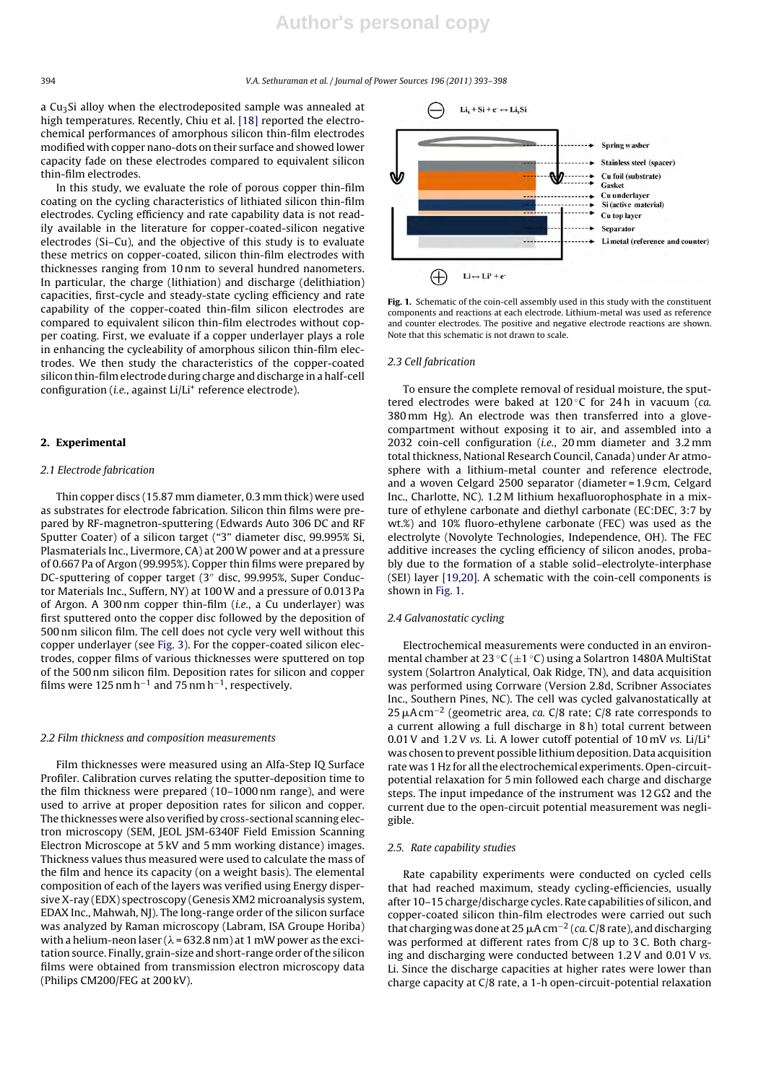#### 394 V.A. Sethuraman et al. / Journal of Power Sources *196 (2011) 393–398*

a Cu<sub>3</sub>Si alloy when the electrodeposited sample was annealed at high temperatures. Recently, Chiu et al. [18] reported the electrochemical performances of amorphous silicon thin-film electrodes modified with copper nano-dots on their surface and showed lower capacity fade on these electrodes compared to equivalent silicon thin-film electrodes.

In this study, we evaluate the role of porous copper thin-film coating on the cycling characteristics of lithiated silicon thin-film electrodes. Cycling efficiency and rate capability data is not readily available in the literature for copper-coated-silicon negative electrodes (Si–Cu), and the objective of this study is to evaluate these metrics on copper-coated, silicon thin-film electrodes with thicknesses ranging from 10 nm to several hundred nanometers. In particular, the charge (lithiation) and discharge (delithiation) capacities, first-cycle and steady-state cycling efficiency and rate capability of the copper-coated thin-film silicon electrodes are compared to equivalent silicon thin-film electrodes without copper coating. First, we evaluate if a copper underlayer plays a role in enhancing the cycleability of amorphous silicon thin-film electrodes. We then study the characteristics of the copper-coated silicon thin-film electrode during charge and discharge in a half-cell configuration (i.e., against Li/Li+ reference electrode).

## **2. Experimental**

## 2.1 Electrode fabrication

Thin copper discs (15.87 mm diameter, 0.3 mm thick) were used as substrates for electrode fabrication. Silicon thin films were prepared by RF-magnetron-sputtering (Edwards Auto 306 DC and RF Sputter Coater) of a silicon target ("3" diameter disc, 99.995% Si, Plasmaterials Inc., Livermore, CA) at 200W power and at a pressure of 0.667 Pa of Argon (99.995%). Copper thin films were prepared by DC-sputtering of copper target (3" disc, 99.995%, Super Conductor Materials Inc., Suffern, NY) at 100W and a pressure of 0.013 Pa of Argon. A 300 nm copper thin-film (i.e., a Cu underlayer) was first sputtered onto the copper disc followed by the deposition of 500 nm silicon film. The cell does not cycle very well without this copper underlayer (see Fig. 3). For the copper-coated silicon electrodes, copper films of various thicknesses were sputtered on top of the 500 nm silicon film. Deposition rates for silicon and copper films were 125 nm h<sup>-1</sup> and 75 nm h<sup>-1</sup>, respectively.

#### 2.2 Film thickness and composition measurements

Film thicknesses were measured using an Alfa-Step IQ Surface Profiler. Calibration curves relating the sputter-deposition time to the film thickness were prepared (10–1000 nm range), and were used to arrive at proper deposition rates for silicon and copper. The thicknesses were also verified by cross-sectional scanning electron microscopy (SEM, JEOL JSM-6340F Field Emission Scanning Electron Microscope at 5 kV and 5 mm working distance) images. Thickness values thus measured were used to calculate the mass of the film and hence its capacity (on a weight basis). The elemental composition of each of the layers was verified using Energy dispersive X-ray (EDX) spectroscopy (Genesis XM2 microanalysis system, EDAX Inc., Mahwah, NJ). The long-range order of the silicon surface was analyzed by Raman microscopy (Labram, ISA Groupe Horiba) with a helium-neon laser ( $\lambda$  = 632.8 nm) at 1 mW power as the excitation source. Finally, grain-size and short-range order of the silicon films were obtained from transmission electron microscopy data (Philips CM200/FEG at 200 kV).



**Fig. 1.** Schematic of the coin-cell assembly used in this study with the constituent components and reactions at each electrode. Lithium-metal was used as reference and counter electrodes. The positive and negative electrode reactions are shown. Note that this schematic is not drawn to scale.

## 2.3 Cell fabrication

To ensure the complete removal of residual moisture, the sputtered electrodes were baked at 120 $\degree$ C for 24h in vacuum (ca. 380 mm Hg). An electrode was then transferred into a glovecompartment without exposing it to air, and assembled into a 2032 coin-cell configuration (i.e., 20 mm diameter and 3.2 mm total thickness, National Research Council, Canada) under Ar atmosphere with a lithium-metal counter and reference electrode, and a woven Celgard 2500 separator (diameter = 1.9 cm, Celgard Inc., Charlotte, NC). 1.2 M lithium hexafluorophosphate in a mixture of ethylene carbonate and diethyl carbonate (EC:DEC, 3:7 by wt.%) and 10% fluoro-ethylene carbonate (FEC) was used as the electrolyte (Novolyte Technologies, Independence, OH). The FEC additive increases the cycling efficiency of silicon anodes, probably due to the formation of a stable solid–electrolyte-interphase (SEI) layer [19,20]. A schematic with the coin-cell components is shown in Fig. 1.

#### 2.4 Galvanostatic cycling

Electrochemical measurements were conducted in an environmental chamber at 23 °C ( $\pm$ 1 °C) using a Solartron 1480A MultiStat system (Solartron Analytical, Oak Ridge, TN), and data acquisition was performed using Corrware (Version 2.8d, Scribner Associates Inc., Southern Pines, NC). The cell was cycled galvanostatically at 25  $\mu$ A cm<sup>-2</sup> (geometric area, *ca.* C/8 rate; C/8 rate corresponds to a current allowing a full discharge in 8 h) total current between 0.01 V and 1.2 V vs. Li. A lower cutoff potential of  $10 \text{ mV}$  vs. Li/Li<sup>+</sup> was chosen to prevent possible lithium deposition. Data acquisition rate was 1 Hz for all the electrochemical experiments. Open-circuitpotential relaxation for 5 min followed each charge and discharge steps. The input impedance of the instrument was  $12 \text{ G}\Omega$  and the current due to the open-circuit potential measurement was negligible.

#### 2.5. Rate capability studies

Rate capability experiments were conducted on cycled cells that had reached maximum, steady cycling-efficiencies, usually after 10–15 charge/discharge cycles. Rate capabilities of silicon, and copper-coated silicon thin-film electrodes were carried out such that charging was done at 25  $\mu$ A cm<sup>-2</sup> (ca. C/8 rate), and discharging was performed at different rates from C/8 up to 3 C. Both charging and discharging were conducted between 1.2 V and 0.01 V vs. Li. Since the discharge capacities at higher rates were lower than charge capacity at C/8 rate, a 1-h open-circuit-potential relaxation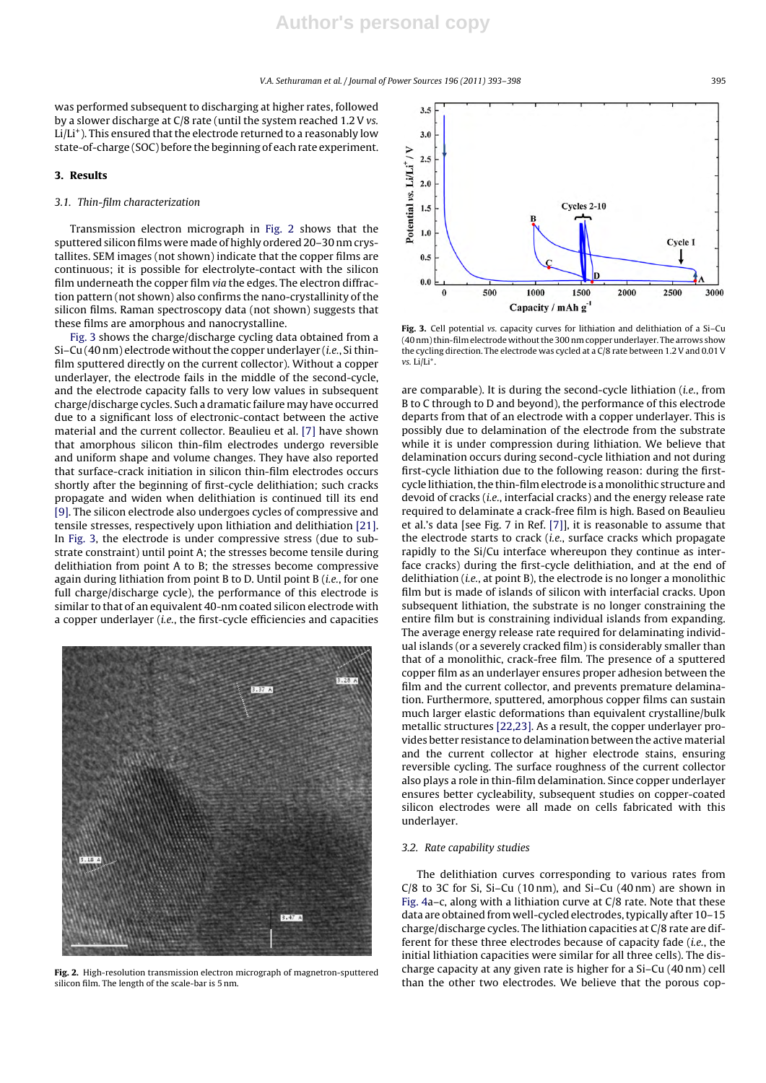was performed subsequent to discharging at higher rates, followed by a slower discharge at C/8 rate (until the system reached 1.2 V vs. Li/Li<sup>+</sup>). This ensured that the electrode returned to a reasonably low state-of-charge (SOC) before the beginning of each rate experiment.

#### **3. Results**

## 3.1. Thin-film characterization

Transmission electron micrograph in Fig. 2 shows that the sputtered silicon films were made of highly ordered 20–30 nm crystallites. SEM images (not shown) indicate that the copper films are continuous; it is possible for electrolyte-contact with the silicon film underneath the copper film via the edges. The electron diffraction pattern (not shown) also confirms the nano-crystallinity of the silicon films. Raman spectroscopy data (not shown) suggests that these films are amorphous and nanocrystalline.

Fig. 3 shows the charge/discharge cycling data obtained from a Si–Cu (40 nm) electrode without the copper underlayer (*i.e.*, Si thinfilm sputtered directly on the current collector). Without a copper underlayer, the electrode fails in the middle of the second-cycle, and the electrode capacity falls to very low values in subsequent charge/discharge cycles. Such a dramatic failure may have occurred due to a significant loss of electronic-contact between the active material and the current collector. Beaulieu et al. [7] have shown that amorphous silicon thin-film electrodes undergo reversible and uniform shape and volume changes. They have also reported that surface-crack initiation in silicon thin-film electrodes occurs shortly after the beginning of first-cycle delithiation; such cracks propagate and widen when delithiation is continued till its end [9]. The silicon electrode also undergoes cycles of compressive and tensile stresses, respectively upon lithiation and delithiation [21]. In Fig. 3, the electrode is under compressive stress (due to substrate constraint) until point A; the stresses become tensile during delithiation from point A to B; the stresses become compressive again during lithiation from point B to D. Until point B (i.e., for one full charge/discharge cycle), the performance of this electrode is similar to that of an equivalent 40-nm coated silicon electrode with a copper underlayer (i.e., the first-cycle efficiencies and capacities



**Fig. 2.** High-resolution transmission electron micrograph of magnetron-sputtered silicon film. The length of the scale-bar is 5 nm.



Fig. 3. Cell potential vs. capacity curves for lithiation and delithiation of a Si-Cu (40 nm) thin-film electrode without the 300 nm copper underlayer. The arrows show the cycling direction. The electrode was cycled at a C/8 rate between 1.2 V and 0.01 V  $vs.$  Li/Li<sup>+</sup>.

are comparable). It is during the second-cycle lithiation (i.e., from B to C through to D and beyond), the performance of this electrode departs from that of an electrode with a copper underlayer. This is possibly due to delamination of the electrode from the substrate while it is under compression during lithiation. We believe that delamination occurs during second-cycle lithiation and not during first-cycle lithiation due to the following reason: during the firstcycle lithiation, the thin-film electrode is amonolithic structure and devoid of cracks (i.e., interfacial cracks) and the energy release rate required to delaminate a crack-free film is high. Based on Beaulieu et al.'s data [see Fig. 7 in Ref. [7]], it is reasonable to assume that the electrode starts to crack (i.e., surface cracks which propagate rapidly to the Si/Cu interface whereupon they continue as interface cracks) during the first-cycle delithiation, and at the end of delithiation (i.e., at point B), the electrode is no longer a monolithic film but is made of islands of silicon with interfacial cracks. Upon subsequent lithiation, the substrate is no longer constraining the entire film but is constraining individual islands from expanding. The average energy release rate required for delaminating individual islands (or a severely cracked film) is considerably smaller than that of a monolithic, crack-free film. The presence of a sputtered copper film as an underlayer ensures proper adhesion between the film and the current collector, and prevents premature delamination. Furthermore, sputtered, amorphous copper films can sustain much larger elastic deformations than equivalent crystalline/bulk metallic structures [22,23]. As a result, the copper underlayer provides better resistance to delamination between the active material and the current collector at higher electrode stains, ensuring reversible cycling. The surface roughness of the current collector also plays a role in thin-film delamination. Since copper underlayer ensures better cycleability, subsequent studies on copper-coated silicon electrodes were all made on cells fabricated with this underlayer.

#### 3.2. Rate capability studies

The delithiation curves corresponding to various rates from  $C/8$  to 3C for Si, Si-Cu (10 nm), and Si-Cu (40 nm) are shown in Fig. 4a–c, along with a lithiation curve at C/8 rate. Note that these data are obtained from well-cycled electrodes, typically after 10–15 charge/discharge cycles. The lithiation capacities at C/8 rate are different for these three electrodes because of capacity fade (i.e., the initial lithiation capacities were similar for all three cells). The discharge capacity at any given rate is higher for a Si–Cu (40 nm) cell than the other two electrodes. We believe that the porous cop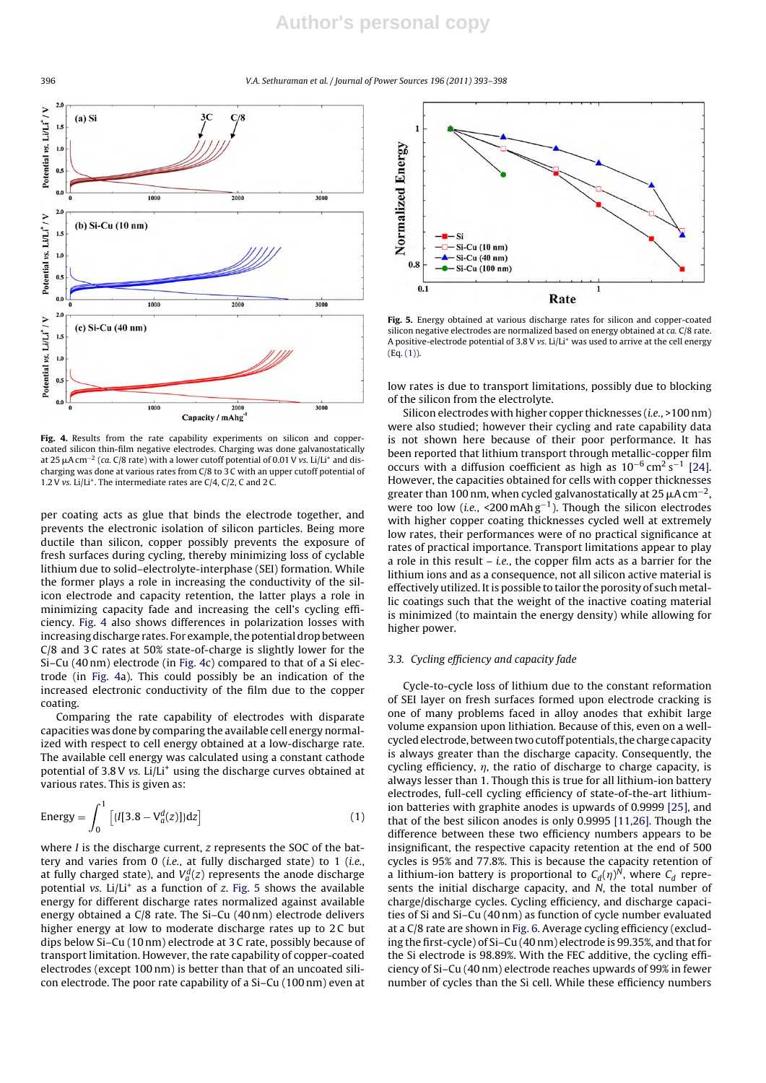396 V.A. Sethuraman et al. / Journal of Power Sources *196 (2011) 393–398*



**Fig. 4.** Results from the rate capability experiments on silicon and coppercoated silicon thin-film negative electrodes. Charging was done galvanostatically at 25  $\mu$ A cm<sup>-2</sup> (ca. C/8 rate) with a lower cutoff potential of 0.01 V vs. Li/Li<sup>+</sup> and discharging was done at various rates from C/8 to 3 C with an upper cutoff potential of 1.2 V vs. Li/Li<sup>+</sup>. The intermediate rates are  $C/4$ ,  $C/2$ , C and 2 C.

per coating acts as glue that binds the electrode together, and prevents the electronic isolation of silicon particles. Being more ductile than silicon, copper possibly prevents the exposure of fresh surfaces during cycling, thereby minimizing loss of cyclable lithium due to solid–electrolyte-interphase (SEI) formation. While the former plays a role in increasing the conductivity of the silicon electrode and capacity retention, the latter plays a role in minimizing capacity fade and increasing the cell's cycling efficiency. Fig. 4 also shows differences in polarization losses with increasing discharge rates. For example, the potential drop between C/8 and 3 C rates at 50% state-of-charge is slightly lower for the Si–Cu (40 nm) electrode (in Fig. 4c) compared to that of a Si electrode (in Fig. 4a). This could possibly be an indication of the increased electronic conductivity of the film due to the copper coating.

Comparing the rate capability of electrodes with disparate capacities was done by comparing the available cell energy normalized with respect to cell energy obtained at a low-discharge rate. The available cell energy was calculated using a constant cathode potential of 3.8 V vs.  $Li/L<sup>+</sup>$  using the discharge curves obtained at various rates. This is given as:

Energy = 
$$
\int_0^1 \left[ \{I[3.8 - V_a^d(z)]\} dz \right]
$$
 (1)

where *I* is the discharge current, *z* represents the SOC of the battery and varies from  $0$  (*i.e.*, at fully discharged state) to  $1$  (*i.e.*, at fully charged state), and  $V_a^d(z)$  represents the anode discharge potential vs.  $Li/Li^{+}$  as a function of z. Fig. 5 shows the available energy for different discharge rates normalized against available energy obtained a C/8 rate. The Si–Cu (40 nm) electrode delivers higher energy at low to moderate discharge rates up to 2C but dips below Si–Cu (10 nm) electrode at 3 C rate, possibly because of transport limitation. However, the rate capability of copper-coated electrodes (except 100 nm) is better than that of an uncoated silicon electrode. The poor rate capability of a Si–Cu (100 nm) even at



**Fig. 5.** Energy obtained at various discharge rates for silicon and copper-coated silicon negative electrodes are normalized based on energy obtained at ca. C/8 rate. A positive-electrode potential of 3.8 V vs. Li/Li<sup>+</sup> was used to arrive at the cell energy (Eq. (1)).

low rates is due to transport limitations, possibly due to blocking of the silicon from the electrolyte.

Silicon electrodes with higher copper thicknesses (i.e., >100 nm) were also studied; however their cycling and rate capability data is not shown here because of their poor performance. It has been reported that lithium transport through metallic-copper film occurs with a diffusion coefficient as high as 10−<sup>6</sup> cm2 s−<sup>1</sup> [24]. However, the capacities obtained for cells with copper thicknesses greater than 100 nm, when cycled galvanostatically at 25  $\mu$ A cm<sup>-2</sup>, were too low (i.e., <200 mAh  $g^{-1}$ ). Though the silicon electrodes with higher copper coating thicknesses cycled well at extremely low rates, their performances were of no practical significance at rates of practical importance. Transport limitations appear to play a role in this result  $-$  *i.e.*, the copper film acts as a barrier for the lithium ions and as a consequence, not all silicon active material is effectively utilized. It is possible to tailor the porosity of such metallic coatings such that the weight of the inactive coating material is minimized (to maintain the energy density) while allowing for higher power.

## 3.3. Cycling efficiency and capacity fade

Cycle-to-cycle loss of lithium due to the constant reformation of SEI layer on fresh surfaces formed upon electrode cracking is one of many problems faced in alloy anodes that exhibit large volume expansion upon lithiation. Because of this, even on a wellcycled electrode, between two cutoff potentials, the charge capacity is always greater than the discharge capacity. Consequently, the cycling efficiency,  $\eta$ , the ratio of discharge to charge capacity, is always lesser than 1. Though this is true for all lithium-ion battery electrodes, full-cell cycling efficiency of state-of-the-art lithiumion batteries with graphite anodes is upwards of 0.9999 [25], and that of the best silicon anodes is only 0.9995 [11,26]. Though the difference between these two efficiency numbers appears to be insignificant, the respective capacity retention at the end of 500 cycles is 95% and 77.8%. This is because the capacity retention of a lithium-ion battery is proportional to  $C_d(\eta)^N$ , where  $C_d$  represents the initial discharge capacity, and N, the total number of charge/discharge cycles. Cycling efficiency, and discharge capacities of Si and Si–Cu (40 nm) as function of cycle number evaluated at a C/8 rate are shown in Fig. 6. Average cycling efficiency (excluding the first-cycle) of Si–Cu (40 nm) electrode is 99.35%, and that for the Si electrode is 98.89%. With the FEC additive, the cycling efficiency of Si–Cu (40 nm) electrode reaches upwards of 99% in fewer number of cycles than the Si cell. While these efficiency numbers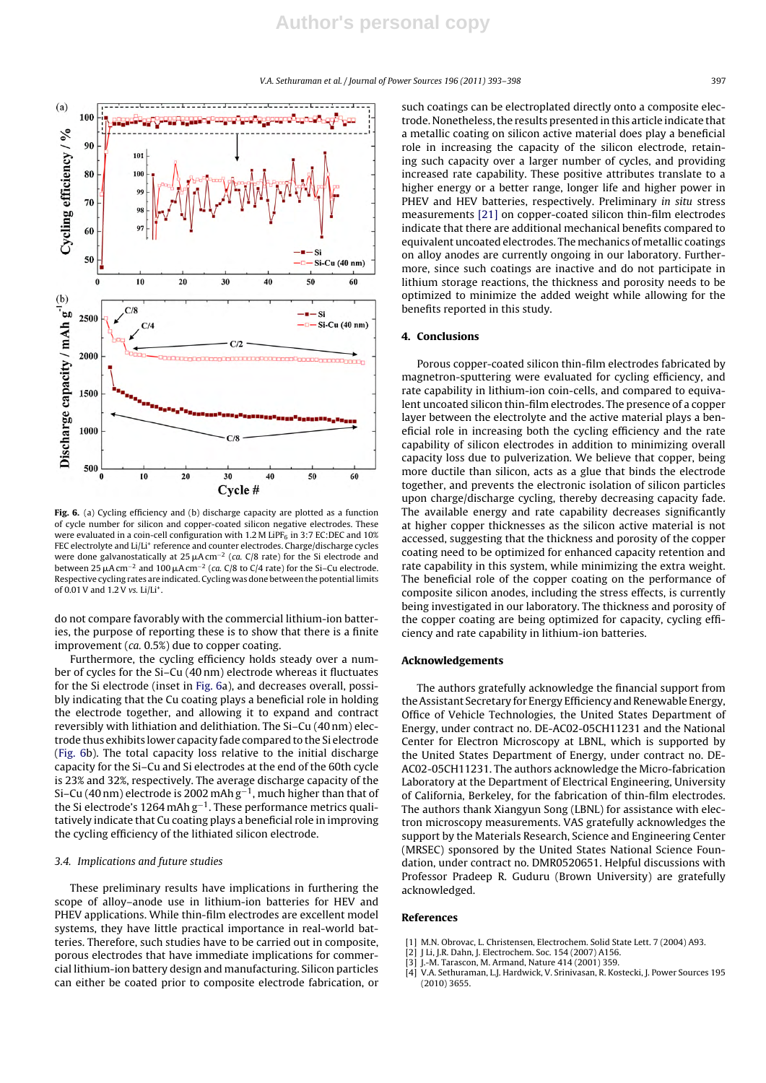

Fig. 6. (a) Cycling efficiency and (b) discharge capacity are plotted as a function of cycle number for silicon and copper-coated silicon negative electrodes. These were evaluated in a coin-cell configuration with 1.2 M LiPF $_6$  in 3:7 EC:DEC and 10% FEC electrolyte and Li/Li+ reference and counter electrodes. Charge/discharge cycles were done galvanostatically at 25  $\mu$ A cm<sup>-2</sup> (ca. C/8 rate) for the Si electrode and between 25  $\mu$ A cm<sup>-2</sup> and 100  $\mu$ A cm<sup>-2</sup> (ca. C/8 to C/4 rate) for the Si–Cu electrode. Respective cycling rates are indicated. Cycling was done between the potential limits of 0.01 V and 1.2 V vs. Li/Li<sup>+</sup>.

do not compare favorably with the commercial lithium-ion batteries, the purpose of reporting these is to show that there is a finite improvement (ca. 0.5%) due to copper coating.

Furthermore, the cycling efficiency holds steady over a number of cycles for the Si–Cu (40 nm) electrode whereas it fluctuates for the Si electrode (inset in Fig. 6a), and decreases overall, possibly indicating that the Cu coating plays a beneficial role in holding the electrode together, and allowing it to expand and contract reversibly with lithiation and delithiation. The Si–Cu (40 nm) electrode thus exhibits lower capacity fade compared to the Si electrode (Fig. 6b). The total capacity loss relative to the initial discharge capacity for the Si–Cu and Si electrodes at the end of the 60th cycle is 23% and 32%, respectively. The average discharge capacity of the Si–Cu (40 nm) electrode is 2002 mAh g<sup>−</sup>1, much higher than that of the Si electrode's 1264 mAh g<sup>−</sup>1. These performance metrics qualitatively indicate that Cu coating plays a beneficial role in improving the cycling efficiency of the lithiated silicon electrode.

#### 3.4. Implications and future studies

These preliminary results have implications in furthering the scope of alloy–anode use in lithium-ion batteries for HEV and PHEV applications. While thin-film electrodes are excellent model systems, they have little practical importance in real-world batteries. Therefore, such studies have to be carried out in composite, porous electrodes that have immediate implications for commercial lithium-ion battery design and manufacturing. Silicon particles can either be coated prior to composite electrode fabrication, or

such coatings can be electroplated directly onto a composite electrode. Nonetheless, the results presented in this article indicate that a metallic coating on silicon active material does play a beneficial role in increasing the capacity of the silicon electrode, retaining such capacity over a larger number of cycles, and providing increased rate capability. These positive attributes translate to a higher energy or a better range, longer life and higher power in PHEV and HEV batteries, respectively. Preliminary in situ stress measurements [21] on copper-coated silicon thin-film electrodes indicate that there are additional mechanical benefits compared to equivalent uncoated electrodes. The mechanics of metallic coatings on alloy anodes are currently ongoing in our laboratory. Furthermore, since such coatings are inactive and do not participate in lithium storage reactions, the thickness and porosity needs to be optimized to minimize the added weight while allowing for the benefits reported in this study.

#### **4. Conclusions**

Porous copper-coated silicon thin-film electrodes fabricated by magnetron-sputtering were evaluated for cycling efficiency, and rate capability in lithium-ion coin-cells, and compared to equivalent uncoated silicon thin-film electrodes. The presence of a copper layer between the electrolyte and the active material plays a beneficial role in increasing both the cycling efficiency and the rate capability of silicon electrodes in addition to minimizing overall capacity loss due to pulverization. We believe that copper, being more ductile than silicon, acts as a glue that binds the electrode together, and prevents the electronic isolation of silicon particles upon charge/discharge cycling, thereby decreasing capacity fade. The available energy and rate capability decreases significantly at higher copper thicknesses as the silicon active material is not accessed, suggesting that the thickness and porosity of the copper coating need to be optimized for enhanced capacity retention and rate capability in this system, while minimizing the extra weight. The beneficial role of the copper coating on the performance of composite silicon anodes, including the stress effects, is currently being investigated in our laboratory. The thickness and porosity of the copper coating are being optimized for capacity, cycling efficiency and rate capability in lithium-ion batteries.

#### **Acknowledgements**

The authors gratefully acknowledge the financial support from the Assistant Secretary for Energy Efficiency and Renewable Energy, Office of Vehicle Technologies, the United States Department of Energy, under contract no. DE-AC02-05CH11231 and the National Center for Electron Microscopy at LBNL, which is supported by the United States Department of Energy, under contract no. DE-AC02-05CH11231. The authors acknowledge the Micro-fabrication Laboratory at the Department of Electrical Engineering, University of California, Berkeley, for the fabrication of thin-film electrodes. The authors thank Xiangyun Song (LBNL) for assistance with electron microscopy measurements. VAS gratefully acknowledges the support by the Materials Research, Science and Engineering Center (MRSEC) sponsored by the United States National Science Foundation, under contract no. DMR0520651. Helpful discussions with Professor Pradeep R. Guduru (Brown University) are gratefully acknowledged.

#### **References**

- [1] M.N. Obrovac, L. Christensen, Electrochem. Solid State Lett. 7 (2004) A93.
- [2] J Li, J.R. Dahn, J. Electrochem. Soc. 154 (2007) A156.
- $I.-M.$  Tarascon, M. Armand, Nature  $414(2001)$  359.
- [4] V.A. Sethuraman, L.J. Hardwick, V. Srinivasan, R. Kostecki, J. Power Sources 195 (2010) 3655.